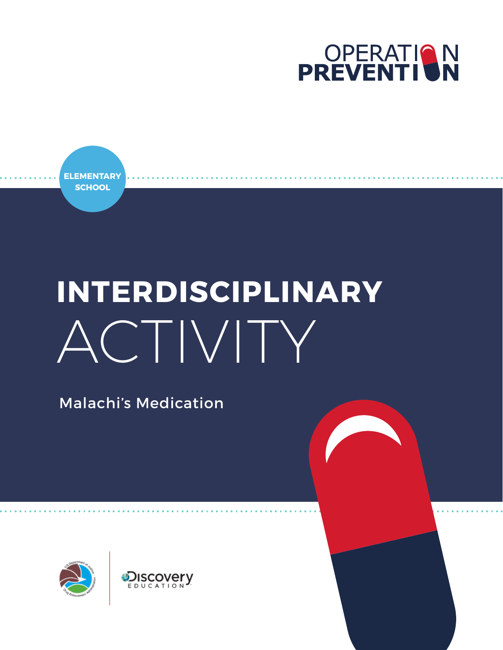

**ELEMENTARY SCHOOL**

# **INTERDISCIPLINARY** ACTIVITY

Malachi's Medication

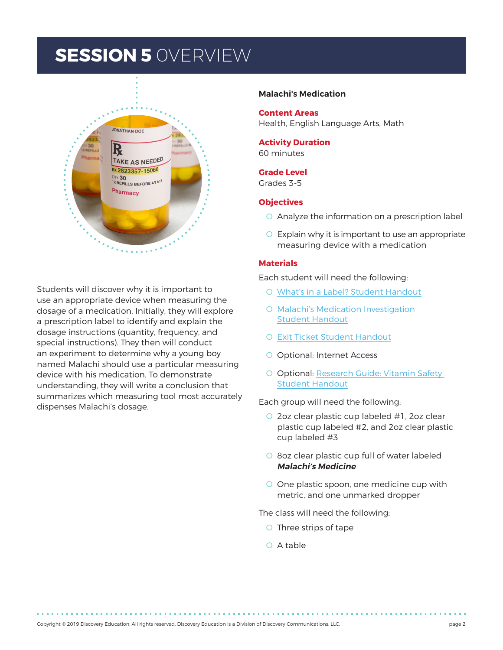# **SESSION 5** 0VERVIEW



Students will discover why it is important to use an appropriate device when measuring the dosage of a medication. Initially, they will explore a prescription label to identify and explain the dosage instructions (quantity, frequency, and special instructions). They then will conduct an experiment to determine why a young boy named Malachi should use a particular measuring device with his medication. To demonstrate understanding, they will write a conclusion that summarizes which measuring tool most accurately dispenses Malachi's dosage.

#### **Malachi's Medication**

**Content Areas**  Health, English Language Arts, Math

**Activity Duration** 60 minutes

#### **Grade Level**

Grades 3-5

#### **Objectives**

- O Analyze the information on a prescription label
- O Explain why it is important to use an appropriate measuring device with a medication

#### **Materials**

Each student will need the following:

- O [What's in a Label? Student Handout](#page-8-0)
- O [Malachi's Medication Investigation](#page-9-0)  [Student Handout](#page-9-0)
- O [Exit Ticket Student Handout](#page-12-0)
- O Optional: Internet Access
- O Optional: [Research Guide: Vitamin Safety](#page-13-0)  [Student Handout](#page-13-0)

Each group will need the following:

- O 2oz clear plastic cup labeled #1, 2oz clear plastic cup labeled #2, and 2oz clear plastic cup labeled #3
- O 8oz clear plastic cup full of water labeled **Malachi's Medicine**
- O One plastic spoon, one medicine cup with metric, and one unmarked dropper

The class will need the following:

- O Three strips of tape
- O A table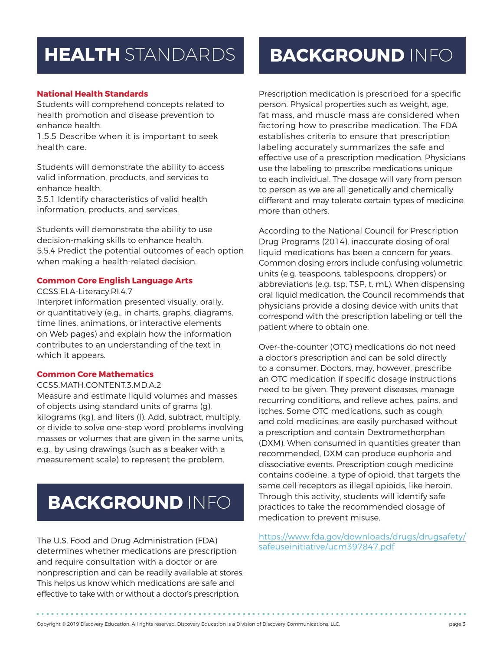# **HEALTH** STANDARDS

#### **National Health Standards**

Students will comprehend concepts related to health promotion and disease prevention to enhance health.

1.5.5 Describe when it is important to seek health care.

Students will demonstrate the ability to access valid information, products, and services to enhance health.

3.5.1 Identify characteristics of valid health information, products, and services.

Students will demonstrate the ability to use decision-making skills to enhance health. 5.5.4 Predict the potential outcomes of each option when making a health-related decision.

#### **Common Core English Language Arts**

#### CCSS.ELA-Literacy.RI.4.7

Interpret information presented visually, orally, or quantitatively (e.g., in charts, graphs, diagrams, time lines, animations, or interactive elements on Web pages) and explain how the information contributes to an understanding of the text in which it appears.

#### **Common Core Mathematics**

#### CCSS.MATH.CONTENT.3.MD.A.2

Measure and estimate liquid volumes and masses of objects using standard units of grams (g), kilograms (kg), and liters (l). Add, subtract, multiply, or divide to solve one-step word problems involving masses or volumes that are given in the same units, e.g., by using drawings (such as a beaker with a measurement scale) to represent the problem.

# **BACKGROUND** INFO

The U.S. Food and Drug Administration (FDA) determines whether medications are prescription and require consultation with a doctor or are nonprescription and can be readily available at stores. This helps us know which medications are safe and effective to take with or without a doctor's prescription.

# **BACKGROUND** INFO

Prescription medication is prescribed for a specific person. Physical properties such as weight, age, fat mass, and muscle mass are considered when factoring how to prescribe medication. The FDA establishes criteria to ensure that prescription labeling accurately summarizes the safe and effective use of a prescription medication. Physicians use the labeling to prescribe medications unique to each individual. The dosage will vary from person to person as we are all genetically and chemically different and may tolerate certain types of medicine more than others.

According to the National Council for Prescription Drug Programs (2014), inaccurate dosing of oral liquid medications has been a concern for years. Common dosing errors include confusing volumetric units (e.g. teaspoons, tablespoons, droppers) or abbreviations (e.g. tsp, TSP, t, mL). When dispensing oral liquid medication, the Council recommends that physicians provide a dosing device with units that correspond with the prescription labeling or tell the patient where to obtain one.

Over-the-counter (OTC) medications do not need a doctor's prescription and can be sold directly to a consumer. Doctors, may, however, prescribe an OTC medication if specific dosage instructions need to be given. They prevent diseases, manage recurring conditions, and relieve aches, pains, and itches. Some OTC medications, such as cough and cold medicines, are easily purchased without a prescription and contain Dextromethorphan (DXM). When consumed in quantities greater than recommended, DXM can produce euphoria and dissociative events. Prescription cough medicine contains codeine, a type of opioid, that targets the same cell receptors as illegal opioids, like heroin. Through this activity, students will identify safe practices to take the recommended dosage of medication to prevent misuse.

[https://www.fda.gov/downloads/drugs/drugsafety/](https://www.fda.gov/downloads/drugs/drugsafety/safeuseinitiative/ucm397847.pdf) [safeuseinitiative/ucm397847.pdf](https://www.fda.gov/downloads/drugs/drugsafety/safeuseinitiative/ucm397847.pdf)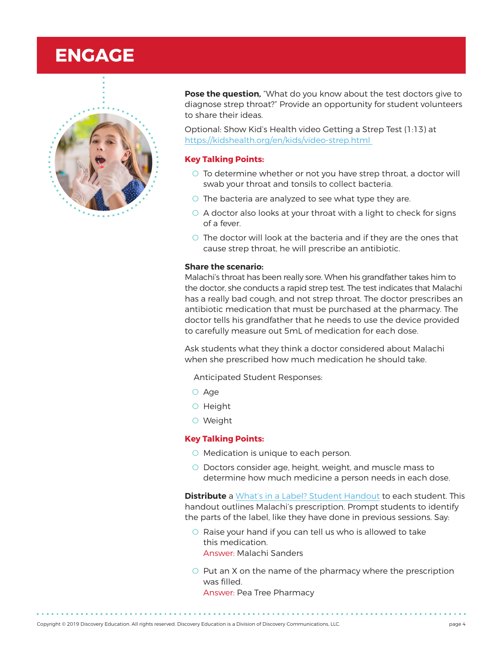# **ENGAGE**



**Pose the question,** "What do you know about the test doctors give to diagnose strep throat?" Provide an opportunity for student volunteers to share their ideas.

Optional: Show Kid's Health video Getting a Strep Test (1:13) at [https://kidshealth.org/en/kids/video-strep.html](https://kidshealth.org/en/kids/video-strep.html ) 

#### **Key Talking Points:**

- O To determine whether or not you have strep throat, a doctor will swab your throat and tonsils to collect bacteria.
- O The bacteria are analyzed to see what type they are.
- O A doctor also looks at your throat with a light to check for signs of a fever.
- O The doctor will look at the bacteria and if they are the ones that cause strep throat, he will prescribe an antibiotic.

#### **Share the scenario:**

Malachi's throat has been really sore. When his grandfather takes him to the doctor, she conducts a rapid strep test. The test indicates that Malachi has a really bad cough, and not strep throat. The doctor prescribes an antibiotic medication that must be purchased at the pharmacy. The doctor tells his grandfather that he needs to use the device provided to carefully measure out 5mL of medication for each dose.

Ask students what they think a doctor considered about Malachi when she prescribed how much medication he should take.

Anticipated Student Responses:

- O Age
- O Height
- O Weight

#### **Key Talking Points:**

- O Medication is unique to each person.
- O Doctors consider age, height, weight, and muscle mass to determine how much medicine a person needs in each dose.

**Distribute** a [What's in a Label? Student Handout](#page-8-0) to each student. This handout outlines Malachi's prescription. Prompt students to identify the parts of the label, like they have done in previous sessions. Say:

- O Raise your hand if you can tell us who is allowed to take this medication. Answer: Malachi Sanders
- O Put an X on the name of the pharmacy where the prescription was filled. Answer: Pea Tree Pharmacy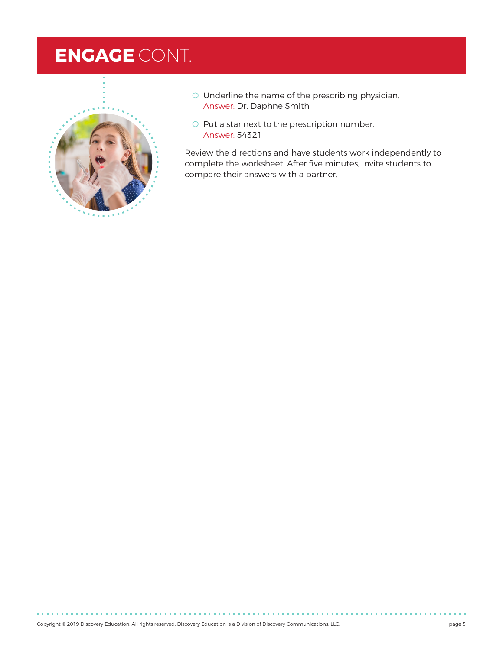# **ENGAGE** CONT.



- O Underline the name of the prescribing physician. Answer: Dr. Daphne Smith
- O Put a star next to the prescription number. Answer: 54321

Review the directions and have students work independently to complete the worksheet. After five minutes, invite students to compare their answers with a partner.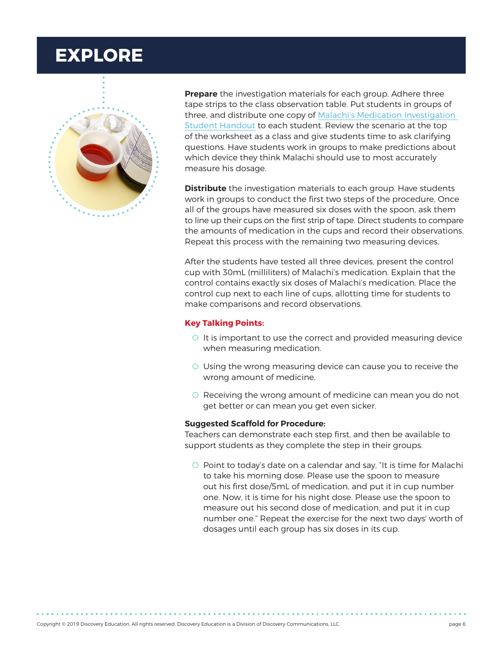# **EXPLORE**



**Prepare** the investigation materials for each group. Adhere three tape strips to the class observation table. Put students in groups of three, and distribute one copy of [Malachi's Medication Investigation](#page-9-0)  [Student Handout](#page-9-0) to each student. Review the scenario at the top of the worksheet as a class and give students time to ask clarifying questions. Have students work in groups to make predictions about which device they think Malachi should use to most accurately measure his dosage.

**Distribute** the investigation materials to each group. Have students work in groups to conduct the first two steps of the procedure. Once all of the groups have measured six doses with the spoon, ask them to line up their cups on the first strip of tape. Direct students to compare the amounts of medication in the cups and record their observations. Repeat this process with the remaining two measuring devices.

After the students have tested all three devices, present the control cup with 30mL (milliliters) of Malachi's medication. Explain that the control contains exactly six doses of Malachi's medication. Place the control cup next to each line of cups, allotting time for students to make comparisons and record observations.

#### **Key Talking Points:**

- O It is important to use the correct and provided measuring device when measuring medication.
- O Using the wrong measuring device can cause you to receive the wrong amount of medicine.
- O Receiving the wrong amount of medicine can mean you do not get better or can mean you get even sicker.

#### **Suggested Scaffold for Procedure:**

Teachers can demonstrate each step first, and then be available to support students as they complete the step in their groups.

O Point to today's date on a calendar and say, "It is time for Malachi to take his morning dose. Please use the spoon to measure out his first dose/5mL of medication, and put it in cup number one. Now, it is time for his night dose. Please use the spoon to measure out his second dose of medication, and put it in cup number one." Repeat the exercise for the next two days' worth of dosages until each group has six doses in its cup.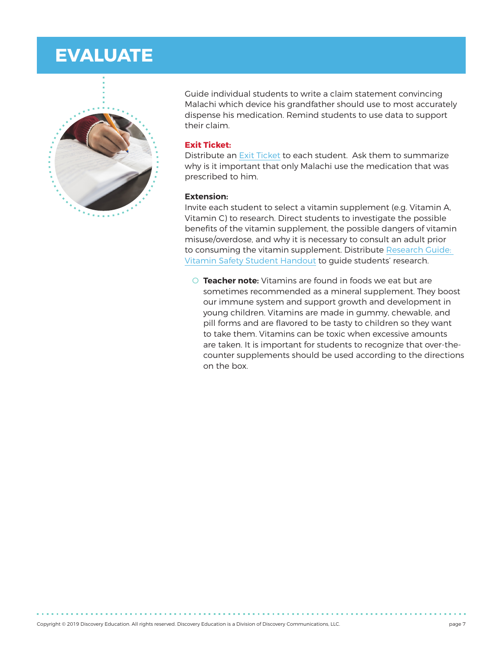### **EVALUATE**



Guide individual students to write a claim statement convincing Malachi which device his grandfather should use to most accurately dispense his medication. Remind students to use data to support their claim.

#### **Exit Ticket:**

Distribute an [Exit Ticket](#page-12-0) to each student. Ask them to summarize why is it important that only Malachi use the medication that was prescribed to him.

#### **Extension:**

Invite each student to select a vitamin supplement (e.g. Vitamin A, Vitamin C) to research. Direct students to investigate the possible benefits of the vitamin supplement, the possible dangers of vitamin misuse/overdose, and why it is necessary to consult an adult prior to consuming the vitamin supplement. Distribute [Research Guide:](#page-13-0)  [Vitamin Safety Student Handout](#page-13-0) to guide students' research.

O **Teacher note:** Vitamins are found in foods we eat but are sometimes recommended as a mineral supplement. They boost our immune system and support growth and development in young children. Vitamins are made in gummy, chewable, and pill forms and are flavored to be tasty to children so they want to take them. Vitamins can be toxic when excessive amounts are taken. It is important for students to recognize that over-thecounter supplements should be used according to the directions on the box.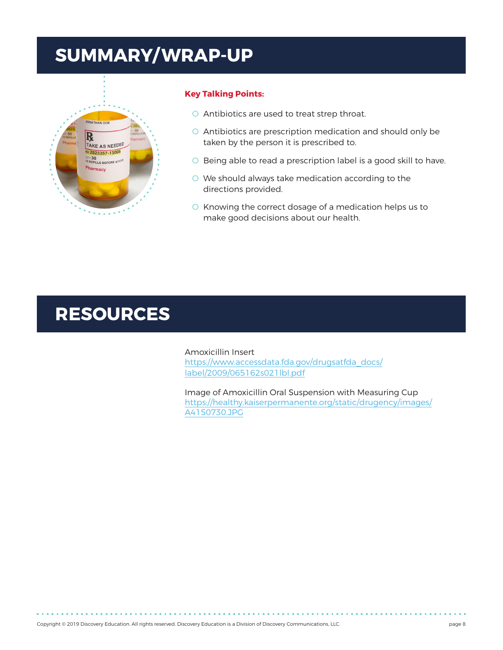# **SUMMARY/ WRAP-UP**



#### **Key Talking Points:**

- O Antibiotics are used to treat strep throat.
- O Antibiotics are prescription medication and should only be taken by the person it is prescribed to.
- O Being able to read a prescription label is a good skill to have.
- O We should always take medication according to the directions provided.
- O Knowing the correct dosage of a medication helps us to make good decisions about our health.

### **RESOURCES**

Amoxicillin Insert [https://www.accessdata.fda.gov/drugsatfda\\_docs/](https://www.accessdata.fda.gov/drugsatfda_docs/label/2009/065162s021lbl.pdf) [label/2009/065162s021lbl.pdf](https://www.accessdata.fda.gov/drugsatfda_docs/label/2009/065162s021lbl.pdf)

Image of Amoxicillin Oral Suspension with Measuring Cup [https://healthy.kaiserpermanente.org/static/drugency/images/](https://healthy.kaiserpermanente.org/static/drugency/images/A4150730.JPG) [A4150730.JPG](https://healthy.kaiserpermanente.org/static/drugency/images/A4150730.JPG)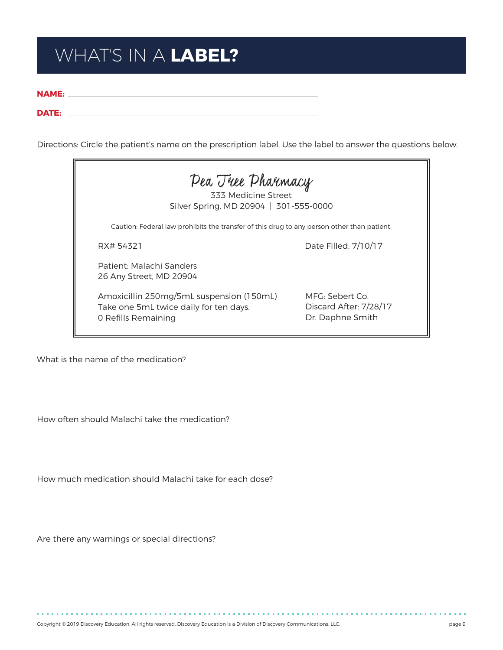# <span id="page-8-0"></span>WHAT'S IN A **LABEL?**

**NAME:**

#### **DATE:**

Directions: Circle the patient's name on the prescription label. Use the label to answer the questions below.



What is the name of the medication?

How often should Malachi take the medication?

How much medication should Malachi take for each dose?

Are there any warnings or special directions?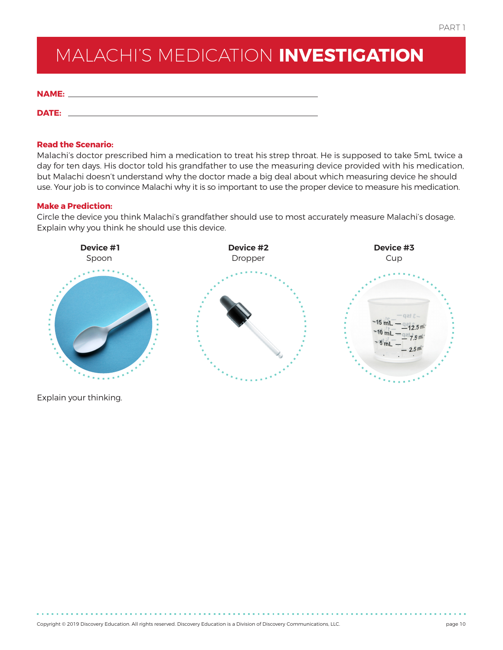# <span id="page-9-0"></span>MALACHI'S MEDICATION **INVESTIGATION**

| <b>NAME:</b> |  |  |  |
|--------------|--|--|--|
|              |  |  |  |

#### **Read the Scenario:**

**DATE:**

Malachi's doctor prescribed him a medication to treat his strep throat. He is supposed to take 5mL twice a day for ten days. His doctor told his grandfather to use the measuring device provided with his medication, but Malachi doesn't understand why the doctor made a big deal about which measuring device he should use. Your job is to convince Malachi why it is so important to use the proper device to measure his medication.

#### **Make a Prediction:**

Circle the device you think Malachi's grandfather should use to most accurately measure Malachi's dosage. Explain why you think he should use this device.



Explain your thinking.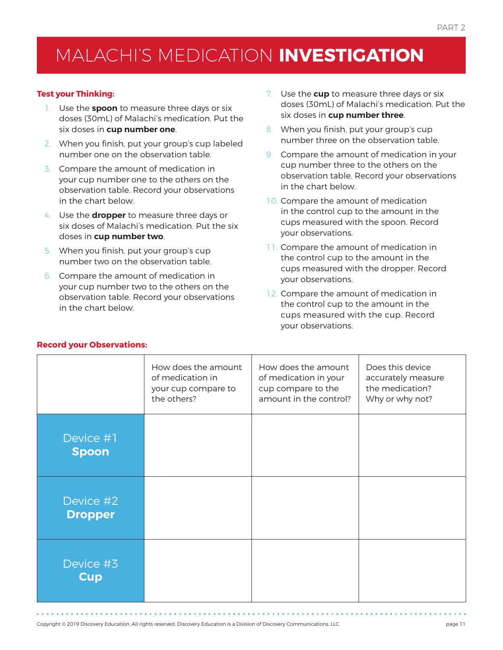# MALACHI'S MEDICATION **INVESTIGATION**

#### **Test your Thinking:**

- 1. Use the **spoon** to measure three days or six doses (30mL) of Malachi's medication. Put the six doses in **cup number one**.
- 2. When you finish, put your group's cup labeled number one on the observation table.
- 3. Compare the amount of medication in your cup number one to the others on the observation table. Record your observations in the chart below.
- 4. Use the **dropper** to measure three days or six doses of Malachi's medication. Put the six doses in **cup number two**.
- 5. When you finish, put your group's cup number two on the observation table.
- 6. Compare the amount of medication in your cup number two to the others on the observation table. Record your observations in the chart below.
- 7. Use the **cup** to measure three days or six doses (30mL) of Malachi's medication. Put the six doses in **cup number three**.
- 8. When you finish, put your group's cup number three on the observation table.
- 9. Compare the amount of medication in your cup number three to the others on the observation table. Record your observations in the chart below.
- 10. Compare the amount of medication in the control cup to the amount in the cups measured with the spoon. Record your observations.
- 11. Compare the amount of medication in the control cup to the amount in the cups measured with the dropper. Record your observations.
- 12. Compare the amount of medication in the control cup to the amount in the cups measured with the cup. Record your observations.

|                             | How does the amount<br>of medication in<br>your cup compare to<br>the others? | How does the amount<br>of medication in your<br>cup compare to the<br>amount in the control? | Does this device<br>accurately measure<br>the medication?<br>Why or why not? |
|-----------------------------|-------------------------------------------------------------------------------|----------------------------------------------------------------------------------------------|------------------------------------------------------------------------------|
| Device #1<br><b>Spoon</b>   |                                                                               |                                                                                              |                                                                              |
| Device #2<br><b>Dropper</b> |                                                                               |                                                                                              |                                                                              |
| Device #3<br><b>Cup</b>     |                                                                               |                                                                                              |                                                                              |

#### **Record your Observations:**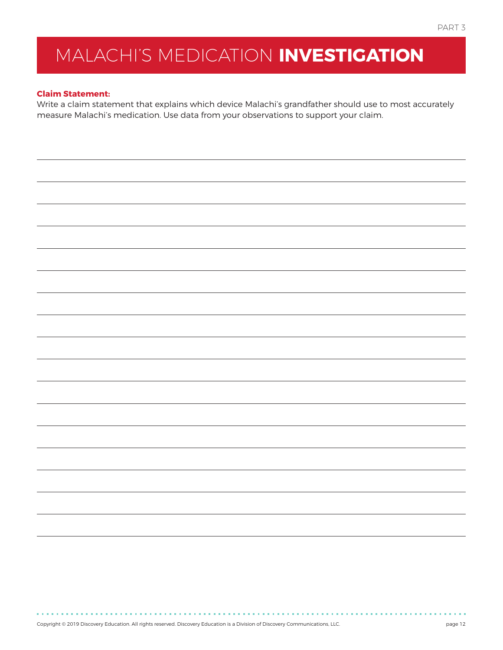# MALACHI'S MEDICATION **INVESTIGATION**

#### **Claim Statement:**

Write a claim statement that explains which device Malachi's grandfather should use to most accurately measure Malachi's medication. Use data from your observations to support your claim.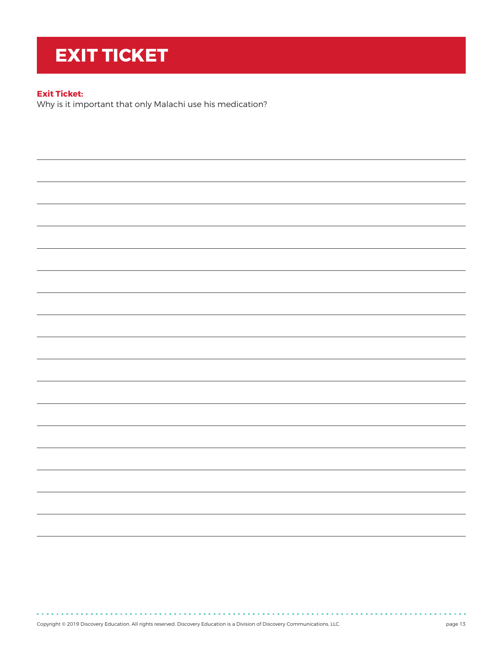# <span id="page-12-0"></span>**EXIT TICKET**

#### **Exit Ticket:**

**Contractor** 

Why is it important that only Malachi use his medication?

Copyright © 2019 Discovery Education. All rights reserved. Discovery Education is a Division of Discovery Communications, LLC. page 13

. . . . . . . . . . . . . . . .